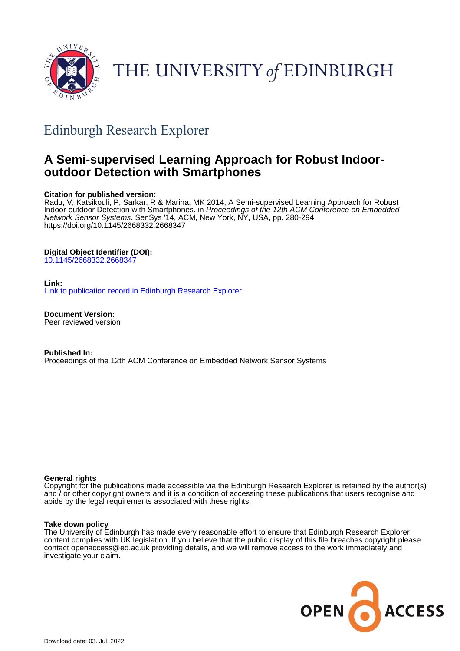

THE UNIVERSITY of EDINBURGH

# Edinburgh Research Explorer

## **A Semi-supervised Learning Approach for Robust Indooroutdoor Detection with Smartphones**

## **Citation for published version:**

Radu, V, Katsikouli, P, Sarkar, R & Marina, MK 2014, A Semi-supervised Learning Approach for Robust Indoor-outdoor Detection with Smartphones. in Proceedings of the 12th ACM Conference on Embedded Network Sensor Systems. SenSys '14, ACM, New York, NY, USA, pp. 280-294. <https://doi.org/10.1145/2668332.2668347>

## **Digital Object Identifier (DOI):**

[10.1145/2668332.2668347](https://doi.org/10.1145/2668332.2668347)

## **Link:**

[Link to publication record in Edinburgh Research Explorer](https://www.research.ed.ac.uk/en/publications/3124d5fd-878c-498d-83f0-ae5886571fc1)

**Document Version:** Peer reviewed version

**Published In:** Proceedings of the 12th ACM Conference on Embedded Network Sensor Systems

## **General rights**

Copyright for the publications made accessible via the Edinburgh Research Explorer is retained by the author(s) and / or other copyright owners and it is a condition of accessing these publications that users recognise and abide by the legal requirements associated with these rights.

## **Take down policy**

The University of Edinburgh has made every reasonable effort to ensure that Edinburgh Research Explorer content complies with UK legislation. If you believe that the public display of this file breaches copyright please contact openaccess@ed.ac.uk providing details, and we will remove access to the work immediately and investigate your claim.

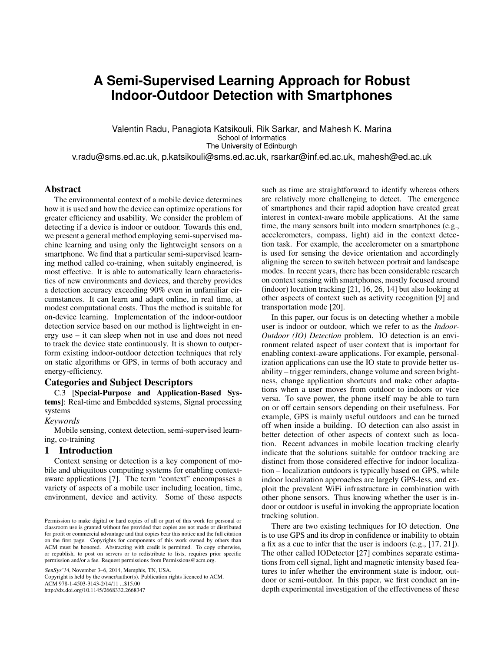## **A Semi-Supervised Learning Approach for Robust Indoor-Outdoor Detection with Smartphones**

Valentin Radu, Panagiota Katsikouli, Rik Sarkar, and Mahesh K. Marina School of Informatics The University of Edinburgh

v.radu@sms.ed.ac.uk, p.katsikouli@sms.ed.ac.uk, rsarkar@inf.ed.ac.uk, mahesh@ed.ac.uk

## Abstract

The environmental context of a mobile device determines how it is used and how the device can optimize operations for greater efficiency and usability. We consider the problem of detecting if a device is indoor or outdoor. Towards this end, we present a general method employing semi-supervised machine learning and using only the lightweight sensors on a smartphone. We find that a particular semi-supervised learning method called co-training, when suitably engineered, is most effective. It is able to automatically learn characteristics of new environments and devices, and thereby provides a detection accuracy exceeding 90% even in unfamiliar circumstances. It can learn and adapt online, in real time, at modest computational costs. Thus the method is suitable for on-device learning. Implementation of the indoor-outdoor detection service based on our method is lightweight in energy use – it can sleep when not in use and does not need to track the device state continuously. It is shown to outperform existing indoor-outdoor detection techniques that rely on static algorithms or GPS, in terms of both accuracy and energy-efficiency.

## Categories and Subject Descriptors

C.3 [Special-Purpose and Application-Based Systems]: Real-time and Embedded systems, Signal processing systems

#### *Keywords*

Mobile sensing, context detection, semi-supervised learning, co-training

## 1 Introduction

Context sensing or detection is a key component of mobile and ubiquitous computing systems for enabling contextaware applications [7]. The term "context" encompasses a variety of aspects of a mobile user including location, time, environment, device and activity. Some of these aspects

SenSys'14, November 3–6, 2014, Memphis, TN, USA.

Copyright is held by the owner/author(s). Publication rights licenced to ACM. ACM 978-1-4503-3143-2/14/11 ...\$15.00

http://dx.doi.org/10.1145/2668332.2668347

such as time are straightforward to identify whereas others are relatively more challenging to detect. The emergence of smartphones and their rapid adoption have created great interest in context-aware mobile applications. At the same time, the many sensors built into modern smartphones (e.g., accelerometers, compass, light) aid in the context detection task. For example, the accelerometer on a smartphone is used for sensing the device orientation and accordingly aligning the screen to switch between portrait and landscape modes. In recent years, there has been considerable research on context sensing with smartphones, mostly focused around (indoor) location tracking [21, 16, 26, 14] but also looking at other aspects of context such as activity recognition [9] and transportation mode [20].

In this paper, our focus is on detecting whether a mobile user is indoor or outdoor, which we refer to as the *Indoor-Outdoor (IO) Detection* problem. IO detection is an environment related aspect of user context that is important for enabling context-aware applications. For example, personalization applications can use the IO state to provide better usability – trigger reminders, change volume and screen brightness, change application shortcuts and make other adaptations when a user moves from outdoor to indoors or vice versa. To save power, the phone itself may be able to turn on or off certain sensors depending on their usefulness. For example, GPS is mainly useful outdoors and can be turned off when inside a building. IO detection can also assist in better detection of other aspects of context such as location. Recent advances in mobile location tracking clearly indicate that the solutions suitable for outdoor tracking are distinct from those considered effective for indoor localization – localization outdoors is typically based on GPS, while indoor localization approaches are largely GPS-less, and exploit the prevalent WiFi infrastructure in combination with other phone sensors. Thus knowing whether the user is indoor or outdoor is useful in invoking the appropriate location tracking solution.

There are two existing techniques for IO detection. One is to use GPS and its drop in confidence or inability to obtain a fix as a cue to infer that the user is indoors (e.g., [17, 21]). The other called IODetector [27] combines separate estimations from cell signal, light and magnetic intensity based features to infer whether the environment state is indoor, outdoor or semi-outdoor. In this paper, we first conduct an indepth experimental investigation of the effectiveness of these

Permission to make digital or hard copies of all or part of this work for personal or classroom use is granted without fee provided that copies are not made or distributed for profit or commercial advantage and that copies bear this notice and the full citation on the first page. Copyrights for components of this work owned by others than ACM must be honored. Abstracting with credit is permitted. To copy otherwise, or republish, to post on servers or to redistribute to lists, requires prior specific permission and/or a fee. Request permissions from Permissions@acm.org.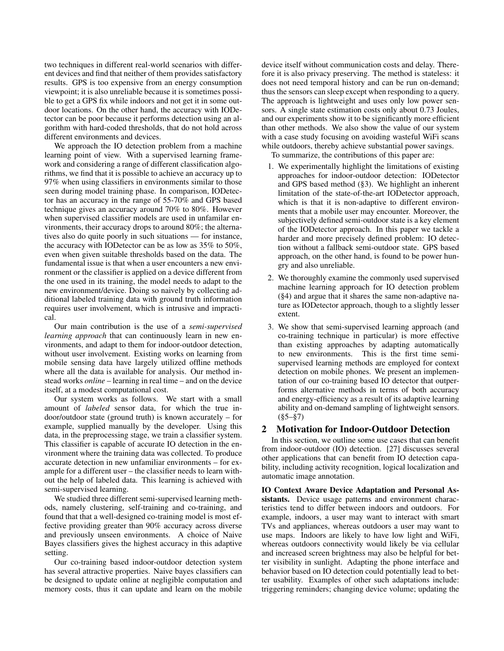two techniques in different real-world scenarios with different devices and find that neither of them provides satisfactory results. GPS is too expensive from an energy consumption viewpoint; it is also unreliable because it is sometimes possible to get a GPS fix while indoors and not get it in some outdoor locations. On the other hand, the accuracy with IODetector can be poor because it performs detection using an algorithm with hard-coded thresholds, that do not hold across different environments and devices.

We approach the IO detection problem from a machine learning point of view. With a supervised learning framework and considering a range of different classification algorithms, we find that it is possible to achieve an accuracy up to 97% when using classifiers in environments similar to those seen during model training phase. In comparison, IODetector has an accuracy in the range of 55-70% and GPS based technique gives an accuracy around 70% to 80%. However when supervised classifier models are used in unfamilar environments, their accuracy drops to around 80%; the alternatives also do quite poorly in such situations — for instance, the accuracy with IODetector can be as low as 35% to 50%, even when given suitable thresholds based on the data. The fundamental issue is that when a user encounters a new environment or the classifier is applied on a device different from the one used in its training, the model needs to adapt to the new environment/device. Doing so naively by collecting additional labeled training data with ground truth information requires user involvement, which is intrusive and impractical.

Our main contribution is the use of a *semi-supervised learning approach* that can continuously learn in new environments, and adapt to them for indoor-outdoor detection, without user involvement. Existing works on learning from mobile sensing data have largely utilized offline methods where all the data is available for analysis. Our method instead works *online* – learning in real time – and on the device itself, at a modest computational cost.

Our system works as follows. We start with a small amount of *labeled* sensor data, for which the true indoor/outdoor state (ground truth) is known accurately – for example, supplied manually by the developer. Using this data, in the preprocessing stage, we train a classifier system. This classifier is capable of accurate IO detection in the environment where the training data was collected. To produce accurate detection in new unfamiliar environments – for example for a different user – the classifier needs to learn without the help of labeled data. This learning is achieved with semi-supervised learning.

We studied three different semi-supervised learning methods, namely clustering, self-training and co-training, and found that that a well-designed co-training model is most effective providing greater than 90% accuracy across diverse and previously unseen environments. A choice of Naive Bayes classifiers gives the highest accuracy in this adaptive setting.

Our co-training based indoor-outdoor detection system has several attractive properties. Naive bayes classifiers can be designed to update online at negligible computation and memory costs, thus it can update and learn on the mobile device itself without communication costs and delay. Therefore it is also privacy preserving. The method is stateless: it does not need temporal history and can be run on-demand; thus the sensors can sleep except when responding to a query. The approach is lightweight and uses only low power sensors. A single state estimation costs only about 0.73 Joules, and our experiments show it to be significantly more efficient than other methods. We also show the value of our system with a case study focusing on avoiding wasteful WiFi scans while outdoors, thereby achieve substantial power savings.

To summarize, the contributions of this paper are:

- 1. We experimentally highlight the limitations of existing approaches for indoor-outdoor detection: IODetector and GPS based method (§3). We highlight an inherent limitation of the state-of-the-art IODetector approach, which is that it is non-adaptive to different environments that a mobile user may encounter. Moreover, the subjectively defined semi-outdoor state is a key element of the IODetector approach. In this paper we tackle a harder and more precisely defined problem: IO detection without a fallback semi-outdoor state. GPS based approach, on the other hand, is found to be power hungry and also unreliable.
- 2. We thoroughly examine the commonly used supervised machine learning approach for IO detection problem (§4) and argue that it shares the same non-adaptive nature as IODetector approach, though to a slightly lesser extent.
- 3. We show that semi-supervised learning approach (and co-training technique in particular) is more effective than existing approaches by adapting automatically to new environments. This is the first time semisupervised learning methods are employed for context detection on mobile phones. We present an implementation of our co-training based IO detector that outperforms alternative methods in terms of both accuracy and energy-efficiency as a result of its adaptive learning ability and on-demand sampling of lightweight sensors.  $(§5–§7)$

## 2 Motivation for Indoor-Outdoor Detection

In this section, we outline some use cases that can benefit from indoor-outdoor (IO) detection. [27] discusses several other applications that can benefit from IO detection capability, including activity recognition, logical localization and automatic image annotation.

IO Context Aware Device Adaptation and Personal Assistants. Device usage patterns and environment characteristics tend to differ between indoors and outdoors. For example, indoors, a user may want to interact with smart TVs and appliances, whereas outdoors a user may want to use maps. Indoors are likely to have low light and WiFi, whereas outdoors connectivity would likely be via cellular and increased screen brightness may also be helpful for better visibility in sunlight. Adapting the phone interface and behavior based on IO detection could potentially lead to better usability. Examples of other such adaptations include: triggering reminders; changing device volume; updating the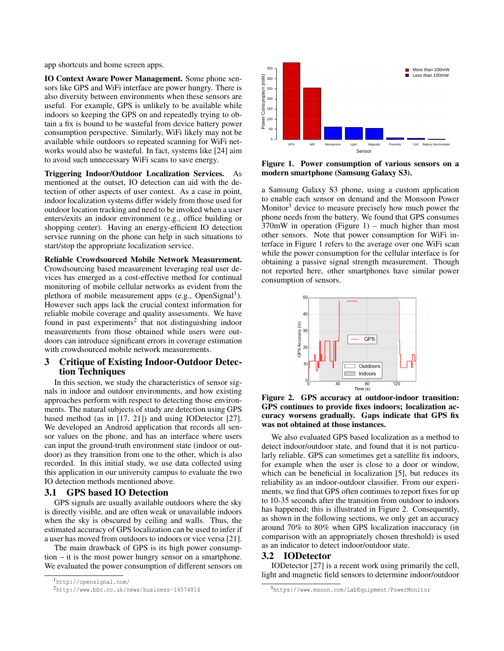app shortcuts and home screen apps.

IO Context Aware Power Management. Some phone sensors like GPS and WiFi interface are power hungry. There is also diversity between environments when these sensors are useful. For example, GPS is unlikely to be available while indoors so keeping the GPS on and repeatedly trying to obtain a fix is bound to be wasteful from device battery power consumption perspective. Similarly, WiFi likely may not be available while outdoors so repeated scanning for WiFi networks would also be wasteful. In fact, systems like [24] aim to avoid such unnecessary WiFi scans to save energy.

Triggering Indoor/Outdoor Localization Services. As mentioned at the outset, IO detection can aid with the detection of other aspects of user context. As a case in point, indoor localization systems differ widely from those used for outdoor location tracking and need to be invoked when a user enters/exits an indoor environment (e.g., office building or shopping center). Having an energy-efficient IO detection service running on the phone can help in such situations to start/stop the appropriate localization service.

Reliable Crowdsourced Mobile Network Measurement. Crowdsourcing based measurement leveraging real user devices has emerged as a cost-effective method for continual monitoring of mobile cellular networks as evident from the plethora of mobile measurement apps (e.g., OpenSignal<sup>1</sup>). However such apps lack the crucial context information for reliable mobile coverage and quality assessments. We have found in past experiments<sup>2</sup> that not distinguishing indoor measurements from those obtained while users were outdoors can introduce significant errors in coverage estimation with crowdsourced mobile network measurements.

## 3 Critique of Existing Indoor-Outdoor Detection Techniques

In this section, we study the characteristics of sensor signals in indoor and outdoor environments, and how existing approaches perform with respect to detecting those environments. The natural subjects of study are detection using GPS based method (as in [17, 21]) and using IODetector [27]. We developed an Android application that records all sensor values on the phone, and has an interface where users can input the ground-truth environment state (indoor or outdoor) as they transition from one to the other, which is also recorded. In this initial study, we use data collected using this application in our university campus to evaluate the two IO detection methods mentioned above.

## 3.1 GPS based IO Detection

GPS signals are usually available outdoors where the sky is directly visible, and are often weak or unavailable indoors when the sky is obscured by ceiling and walls. Thus, the estimated accuracy of GPS localization can be used to infer if a user has moved from outdoors to indoors or vice versa [21].

The main drawback of GPS is its high power consumption – it is the most power hungry sensor on a smartphone. We evaluated the power consumption of different sensors on

<sup>1</sup>http://opensignal.com/



Figure 1. Power consumption of various sensors on a modern smartphone (Samsung Galaxy S3).

a Samsung Galaxy S3 phone, using a custom application to enable each sensor on demand and the Monsoon Power Monitor<sup>3</sup> device to measure precisely how much power the phone needs from the battery. We found that GPS consumes  $370$ mW in operation (Figure 1) – much higher than most other sensors. Note that power consumption for WiFi interface in Figure 1 refers to the average over one WiFi scan while the power consumption for the cellular interface is for obtaining a passive signal strength measurement. Though not reported here, other smartphones have similar power consumption of sensors.



Figure 2. GPS accuracy at outdoor-indoor transition: GPS continues to provide fixes indoors; localization accuracy worsens gradually. Gaps indicate that GPS fix was not obtained at those instances.

We also evaluated GPS based localization as a method to detect indoor/outdoor state, and found that it is not particularly reliable. GPS can sometimes get a satellite fix indoors, for example when the user is close to a door or window, which can be beneficial in localization [5], but reduces its reliability as an indoor-outdoor classifier. From our experiments, we find that GPS often continues to report fixes for up to 10-35 seconds after the transition from outdoor to indoors has happened; this is illustrated in Figure 2. Consequently, as shown in the following sections, we only get an accuracy around 70% to 80% when GPS localization inaccuracy (in comparison with an appropriately chosen threshold) is used as an indicator to detect indoor/outdoor state.

#### 3.2 IODetector

IODetector [27] is a recent work using primarily the cell, light and magnetic field sensors to determine indoor/outdoor

<sup>2</sup>http://www.bbc.co.uk/news/business-14574816

<sup>3</sup>https://www.msoon.com/LabEquipment/PowerMonitor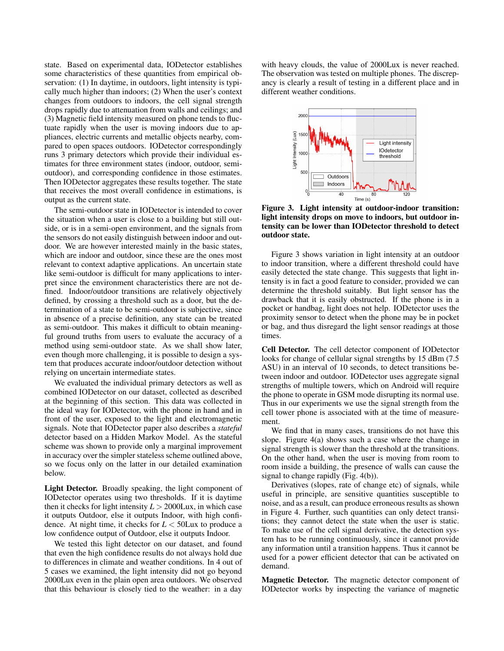state. Based on experimental data, IODetector establishes some characteristics of these quantities from empirical observation: (1) In daytime, in outdoors, light intensity is typically much higher than indoors; (2) When the user's context changes from outdoors to indoors, the cell signal strength drops rapidly due to attenuation from walls and ceilings; and (3) Magnetic field intensity measured on phone tends to fluctuate rapidly when the user is moving indoors due to appliances, electric currents and metallic objects nearby, compared to open spaces outdoors. IODetector correspondingly runs 3 primary detectors which provide their individual estimates for three environment states (indoor, outdoor, semioutdoor), and corresponding confidence in those estimates. Then IODetector aggregates these results together. The state that receives the most overall confidence in estimations, is output as the current state.

The semi-outdoor state in IODetector is intended to cover the situation when a user is close to a building but still outside, or is in a semi-open environment, and the signals from the sensors do not easily distinguish between indoor and outdoor. We are however interested mainly in the basic states, which are indoor and outdoor, since these are the ones most relevant to context adaptive applications. An uncertain state like semi-outdoor is difficult for many applications to interpret since the environment characteristics there are not defined. Indoor/outdoor transitions are relatively objectively defined, by crossing a threshold such as a door, but the determination of a state to be semi-outdoor is subjective, since in absence of a precise definition, any state can be treated as semi-outdoor. This makes it difficult to obtain meaningful ground truths from users to evaluate the accuracy of a method using semi-outdoor state. As we shall show later, even though more challenging, it is possible to design a system that produces accurate indoor/outdoor detection without relying on uncertain intermediate states.

We evaluated the individual primary detectors as well as combined IODetector on our dataset, collected as described at the beginning of this section. This data was collected in the ideal way for IODetector, with the phone in hand and in front of the user, exposed to the light and electromagnetic signals. Note that IODetector paper also describes a *stateful* detector based on a Hidden Markov Model. As the stateful scheme was shown to provide only a marginal improvement in accuracy over the simpler stateless scheme outlined above, so we focus only on the latter in our detailed examination below.

Light Detector. Broadly speaking, the light component of IODetector operates using two thresholds. If it is daytime then it checks for light intensity  $L > 2000$  Lux, in which case it outputs Outdoor, else it outputs Indoor, with high confidence. At night time, it checks for *L* < 50Lux to produce a low confidence output of Outdoor, else it outputs Indoor.

We tested this light detector on our dataset, and found that even the high confidence results do not always hold due to differences in climate and weather conditions. In 4 out of 5 cases we examined, the light intensity did not go beyond 2000Lux even in the plain open area outdoors. We observed that this behaviour is closely tied to the weather: in a day

with heavy clouds, the value of 2000Lux is never reached. The observation was tested on multiple phones. The discrepancy is clearly a result of testing in a different place and in different weather conditions.



Figure 3. Light intensity at outdoor-indoor transition: light intensity drops on move to indoors, but outdoor intensity can be lower than IODetector threshold to detect outdoor state.

Figure 3 shows variation in light intensity at an outdoor to indoor transition, where a different threshold could have easily detected the state change. This suggests that light intensity is in fact a good feature to consider, provided we can determine the threshold suitably. But light sensor has the drawback that it is easily obstructed. If the phone is in a pocket or handbag, light does not help. IODetector uses the proximity sensor to detect when the phone may be in pocket or bag, and thus disregard the light sensor readings at those times.

Cell Detector. The cell detector component of IODetector looks for change of cellular signal strengths by 15 dBm (7.5 ASU) in an interval of 10 seconds, to detect transitions between indoor and outdoor. IODetector uses aggregate signal strengths of multiple towers, which on Android will require the phone to operate in GSM mode disrupting its normal use. Thus in our experiments we use the signal strength from the cell tower phone is associated with at the time of measurement.

We find that in many cases, transitions do not have this slope. Figure 4(a) shows such a case where the change in signal strength is slower than the threshold at the transitions. On the other hand, when the user is moving from room to room inside a building, the presence of walls can cause the signal to change rapidly (Fig. 4(b)).

Derivatives (slopes, rate of change etc) of signals, while useful in principle, are sensitive quantities susceptible to noise, and as a result, can produce erroneous results as shown in Figure 4. Further, such quantities can only detect transitions; they cannot detect the state when the user is static. To make use of the cell signal derivative, the detection system has to be running continuously, since it cannot provide any information until a transition happens. Thus it cannot be used for a power efficient detector that can be activated on demand.

Magnetic Detector. The magnetic detector component of IODetector works by inspecting the variance of magnetic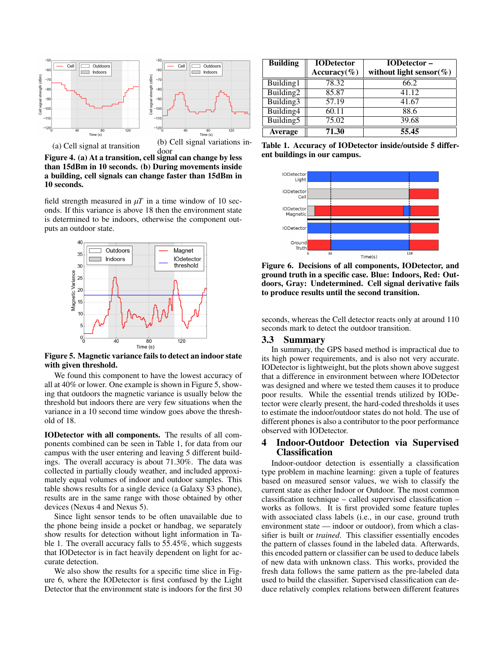



(a) Cell signal at transition (b) Cell signal variations in-

door Figure 4. (a) At a transition, cell signal can change by less than 15dBm in 10 seconds. (b) During movements inside a building, cell signals can change faster than 15dBm in 10 seconds.

field strength measured in  $\mu T$  in a time window of 10 seconds. If this variance is above 18 then the environment state is determined to be indoors, otherwise the component outputs an outdoor state.



Figure 5. Magnetic variance fails to detect an indoor state with given threshold.

We found this component to have the lowest accuracy of all at 40% or lower. One example is shown in Figure 5, showing that outdoors the magnetic variance is usually below the threshold but indoors there are very few situations when the variance in a 10 second time window goes above the threshold of 18.

IODetector with all components. The results of all components combined can be seen in Table 1, for data from our campus with the user entering and leaving 5 different buildings. The overall accuracy is about 71.30%. The data was collected in partially cloudy weather, and included approximately equal volumes of indoor and outdoor samples. This table shows results for a single device (a Galaxy S3 phone), results are in the same range with those obtained by other devices (Nexus 4 and Nexus 5).

Since light sensor tends to be often unavailable due to the phone being inside a pocket or handbag, we separately show results for detection without light information in Table 1. The overall accuracy falls to 55.45%, which suggests that IODetector is in fact heavily dependent on light for accurate detection.

We also show the results for a specific time slice in Figure 6, where the IODetector is first confused by the Light Detector that the environment state is indoors for the first 30

| <b>Building</b> | <b>IODetector</b>  | <b>IODetector-</b>           |
|-----------------|--------------------|------------------------------|
|                 | Accuracy $(\% )$   | without light sensor( $\%$ ) |
| Building1       | 78.32              | 66.2                         |
| Building2       | 85.87              | 41.12                        |
| Building3       | 57.19              | 41.67                        |
| Building4       | 60.11              | 88.6                         |
| Building5       | $75.\overline{02}$ | 39.68                        |
| <b>Average</b>  | 71.30              | 55.45                        |

Table 1. Accuracy of IODetector inside/outside 5 different buildings in our campus.



Figure 6. Decisions of all components, IODetector, and ground truth in a specific case. Blue: Indoors, Red: Outdoors, Gray: Undetermined. Cell signal derivative fails to produce results until the second transition.

seconds, whereas the Cell detector reacts only at around 110 seconds mark to detect the outdoor transition.

#### 3.3 Summary

In summary, the GPS based method is impractical due to its high power requirements, and is also not very accurate. IODetector is lightweight, but the plots shown above suggest that a difference in environment between where IODetector was designed and where we tested them causes it to produce poor results. While the essential trends utilized by IODetector were clearly present, the hard-coded thresholds it uses to estimate the indoor/outdoor states do not hold. The use of different phones is also a contributor to the poor performance observed with IODetector.

## 4 Indoor-Outdoor Detection via Supervised Classification

Indoor-outdoor detection is essentially a classification type problem in machine learning: given a tuple of features based on measured sensor values, we wish to classify the current state as either Indoor or Outdoor. The most common classification technique – called supervised classification – works as follows. It is first provided some feature tuples with associated class labels (i.e., in our case, ground truth environment state — indoor or outdoor), from which a classifier is built or *trained*. This classifier essentially encodes the pattern of classes found in the labeled data. Afterwards, this encoded pattern or classifier can be used to deduce labels of new data with unknown class. This works, provided the fresh data follows the same pattern as the pre-labeled data used to build the classifier. Supervised classification can deduce relatively complex relations between different features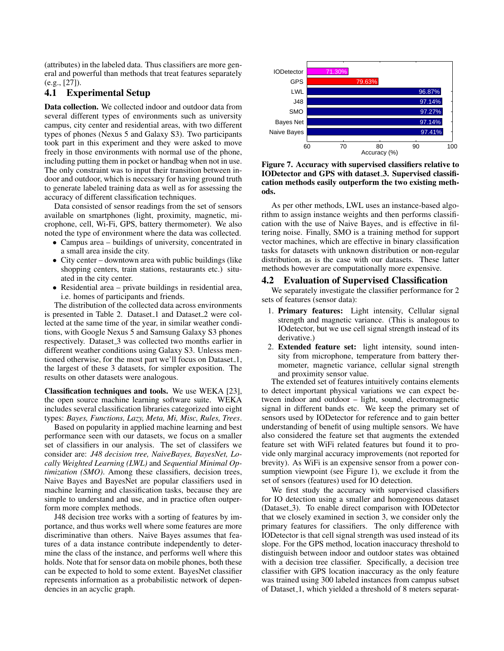(attributes) in the labeled data. Thus classifiers are more general and powerful than methods that treat features separately (e.g., [27]).

## 4.1 Experimental Setup

Data collection. We collected indoor and outdoor data from several different types of environments such as university campus, city center and residential areas, with two different types of phones (Nexus 5 and Galaxy S3). Two participants took part in this experiment and they were asked to move freely in those environments with normal use of the phone, including putting them in pocket or handbag when not in use. The only constraint was to input their transition between indoor and outdoor, which is necessary for having ground truth to generate labeled training data as well as for assessing the accuracy of different classification techniques.

Data consisted of sensor readings from the set of sensors available on smartphones (light, proximity, magnetic, microphone, cell, Wi-Fi, GPS, battery thermometer). We also noted the type of environment where the data was collected.

- Campus area buildings of university, concentrated in a small area inside the city.
- City center downtown area with public buildings (like shopping centers, train stations, restaurants etc.) situated in the city center.
- Residential area private buildings in residential area, i.e. homes of participants and friends.

The distribution of the collected data across environments is presented in Table 2. Dataset<sub>-1</sub> and Dataset<sub>-2</sub> were collected at the same time of the year, in similar weather conditions, with Google Nexus 5 and Samsung Galaxy S3 phones respectively. Dataset 3 was collected two months earlier in different weather conditions using Galaxy S3. Unlesss mentioned otherwise, for the most part we'll focus on Dataset<sub>-1</sub>, the largest of these 3 datasets, for simpler exposition. The results on other datasets were analogous.

Classification techniques and tools. We use WEKA [23], the open source machine learning software suite. WEKA includes several classification libraries categorized into eight types: *Bayes, Functions, Lazy, Meta, Mi, Misc, Rules, Trees*.

Based on popularity in applied machine learning and best performance seen with our datasets, we focus on a smaller set of classifiers in our analysis. The set of classifers we consider are: *J48 decision tree, NaiveBayes, BayesNet, Locally Weighted Learning (LWL)* and *Sequential Minimal Optimization (SMO)*. Among these classifiers, decision trees, Naive Bayes and BayesNet are popular classifiers used in machine learning and classification tasks, because they are simple to understand and use, and in practice often outperform more complex methods.

J48 decision tree works with a sorting of features by importance, and thus works well where some features are more discriminative than others. Naive Bayes assumes that features of a data instance contribute independently to determine the class of the instance, and performs well where this holds. Note that for sensor data on mobile phones, both these can be expected to hold to some extent. BayesNet classifier represents information as a probabilistic network of dependencies in an acyclic graph.



Figure 7. Accuracy with supervised classifiers relative to IODetector and GPS with dataset 3. Supervised classification methods easily outperform the two existing methods.

As per other methods, LWL uses an instance-based algorithm to assign instance weights and then performs classification with the use of Naive Bayes, and is effective in filtering noise. Finally, SMO is a training method for support vector machines, which are effective in binary classification tasks for datasets with unknown distribution or non-regular distribution, as is the case with our datasets. These latter methods however are computationally more expensive.

#### 4.2 Evaluation of Supervised Classification

We separately investigate the classifier performance for 2 sets of features (sensor data):

- 1. Primary features: Light intensity, Cellular signal strength and magnetic variance. (This is analogous to IOdetector, but we use cell signal strength instead of its derivative.)
- 2. Extended feature set: light intensity, sound intensity from microphone, temperature from battery thermometer, magnetic variance, cellular signal strength and proximity sensor value.

The extended set of features intuitively contains elements to detect important physical variations we can expect between indoor and outdoor – light, sound, electromagnetic signal in different bands etc. We keep the primary set of sensors used by IODetector for reference and to gain better understanding of benefit of using multiple sensors. We have also considered the feature set that augments the extended feature set with WiFi related features but found it to provide only marginal accuracy improvements (not reported for brevity). As WiFi is an expensive sensor from a power consumption viewpoint (see Figure 1), we exclude it from the set of sensors (features) used for IO detection.

We first study the accuracy with supervised classifiers for IO detection using a smaller and homogeneous dataset (Dataset<sub>-3</sub>). To enable direct comparison with IODetector that we closely examined in section 3, we consider only the primary features for classifiers. The only difference with IODetector is that cell signal strength was used instead of its slope. For the GPS method, location inaccuracy threshold to distinguish between indoor and outdoor states was obtained with a decision tree classifier. Specifically, a decision tree classifier with GPS location inaccuracy as the only feature was trained using 300 labeled instances from campus subset of Dataset<sub>-1</sub>, which yielded a threshold of 8 meters separat-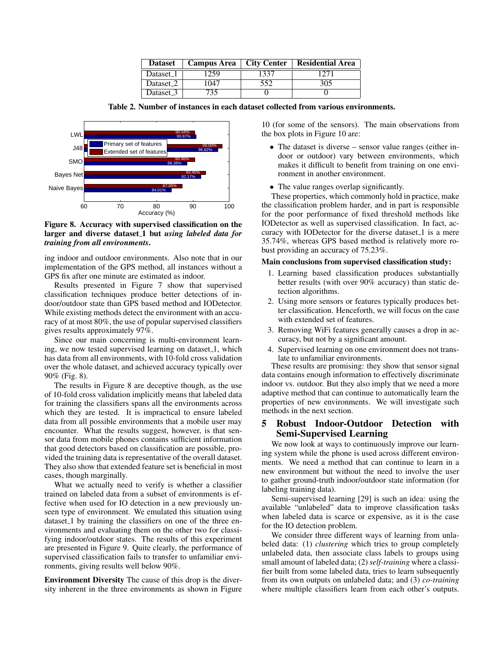| <b>Dataset</b>        | Campus Area   City Center |     | <b>Residential Area</b> |
|-----------------------|---------------------------|-----|-------------------------|
| Dataset_1             |                           | 337 |                         |
| Dataset <sub>-2</sub> | 1047                      | 552 | 305                     |
| Dataset <sub>-3</sub> |                           |     |                         |

Table 2. Number of instances in each dataset collected from various environments.



Figure 8. Accuracy with supervised classification on the larger and diverse dataset<sub>1</sub> but *using labeled data for training from all environments*.

ing indoor and outdoor environments. Also note that in our implementation of the GPS method, all instances without a GPS fix after one minute are estimated as indoor.

Results presented in Figure 7 show that supervised classification techniques produce better detections of indoor/outdoor state than GPS based method and IODetector. While existing methods detect the environment with an accuracy of at most 80%, the use of popular supervised classifiers gives results approximately 97%.

Since our main concerning is multi-environment learning, we now tested supervised learning on dataset<sub>-1</sub>, which has data from all environments, with 10-fold cross validation over the whole dataset, and achieved accuracy typically over 90% (Fig. 8).

The results in Figure 8 are deceptive though, as the use of 10-fold cross validation implicitly means that labeled data for training the classifiers spans all the environments across which they are tested. It is impractical to ensure labeled data from all possible environments that a mobile user may encounter. What the results suggest, however, is that sensor data from mobile phones contains sufficient information that good detectors based on classification are possible, provided the training data is representative of the overall dataset. They also show that extended feature set is beneficial in most cases, though marginally.

What we actually need to verify is whether a classifier trained on labeled data from a subset of environments is effective when used for IO detection in a new previously unseen type of environment. We emulated this situation using dataset 1 by training the classifiers on one of the three environments and evaluating them on the other two for classifying indoor/outdoor states. The results of this experiment are presented in Figure 9. Quite clearly, the performance of supervised classification fails to transfer to unfamiliar environments, giving results well below 90%.

Environment Diversity The cause of this drop is the diversity inherent in the three environments as shown in Figure

10 (for some of the sensors). The main observations from the box plots in Figure 10 are:

- The dataset is diverse sensor value ranges (either indoor or outdoor) vary between environments, which makes it difficult to benefit from training on one environment in another environment.
- The value ranges overlap significantly.

These properties, which commonly hold in practice, make the classification problem harder, and in part is responsible for the poor performance of fixed threshold methods like IODetector as well as supervised classification. In fact, accuracy with IODetector for the diverse dataset 1 is a mere 35.74%, whereas GPS based method is relatively more robust providing an accuracy of 75.23%.

#### Main conclusions from supervised classification study:

- 1. Learning based classification produces substantially better results (with over 90% accuracy) than static detection algorithms.
- 2. Using more sensors or features typically produces better classification. Henceforth, we will focus on the case with extended set of features.
- 3. Removing WiFi features generally causes a drop in accuracy, but not by a significant amount.
- 4. Supervised learning on one environment does not translate to unfamiliar environments.

These results are promising: they show that sensor signal data contains enough information to effectively discriminate indoor vs. outdoor. But they also imply that we need a more adaptive method that can continue to automatically learn the properties of new environments. We will investigate such methods in the next section.

## 5 Robust Indoor-Outdoor Detection with Semi-Supervised Learning

We now look at ways to continuously improve our learning system while the phone is used across different environments. We need a method that can continue to learn in a new environment but without the need to involve the user to gather ground-truth indoor/outdoor state information (for labeling training data).

Semi-supervised learning [29] is such an idea: using the available "unlabeled" data to improve classification tasks when labeled data is scarce or expensive, as it is the case for the IO detection problem.

We consider three different ways of learning from unlabeled data: (1) *clustering* which tries to group completely unlabeled data, then associate class labels to groups using small amount of labeled data; (2)*self-training* where a classifier built from some labeled data, tries to learn subsequently from its own outputs on unlabeled data; and (3) *co-training* where multiple classifiers learn from each other's outputs.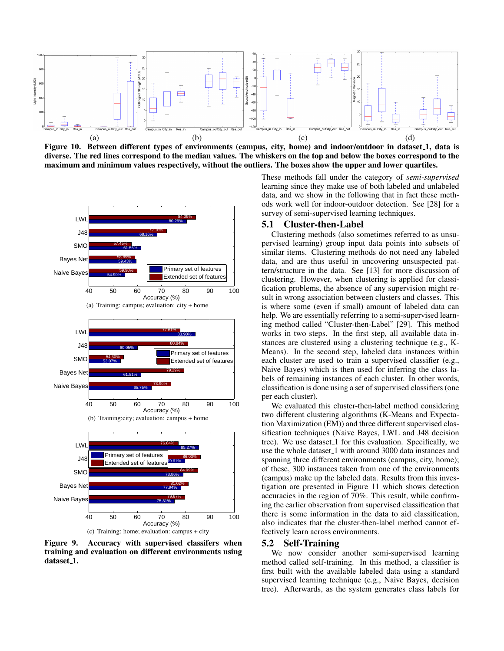

Figure 10. Between different types of environments (campus, city, home) and indoor/outdoor in dataset 1, data is diverse. The red lines correspond to the median values. The whiskers on the top and below the boxes correspond to the maximum and minimum values respectively, without the outliers. The boxes show the upper and lower quartiles.



Figure 9. Accuracy with supervised classifers when training and evaluation on different environments using dataset<sub>-1</sub>.

These methods fall under the category of *semi-supervised* learning since they make use of both labeled and unlabeled data, and we show in the following that in fact these methods work well for indoor-outdoor detection. See [28] for a survey of semi-supervised learning techniques.

#### 5.1 Cluster-then-Label

Clustering methods (also sometimes referred to as unsupervised learning) group input data points into subsets of similar items. Clustering methods do not need any labeled data, and are thus useful in uncovering unsuspected pattern/structure in the data. See [13] for more discussion of clustering. However, when clustering is applied for classification problems, the absence of any supervision might result in wrong association between clusters and classes. This is where some (even if small) amount of labeled data can help. We are essentially referring to a semi-supervised learning method called "Cluster-then-Label" [29]. This method works in two steps. In the first step, all available data instances are clustered using a clustering technique (e.g., K-Means). In the second step, labeled data instances within each cluster are used to train a supervised classifier (e.g., Naive Bayes) which is then used for inferring the class labels of remaining instances of each cluster. In other words, classification is done using a set of supervised classifiers (one per each cluster).

We evaluated this cluster-then-label method considering two different clustering algorithms (K-Means and Expectation Maximization (EM)) and three different supervised classification techniques (Naive Bayes, LWL and J48 decision tree). We use dataset 1 for this evaluation. Specifically, we use the whole dataset<sub>1</sub> with around 3000 data instances and spanning three different environments (campus, city, home); of these, 300 instances taken from one of the environments (campus) make up the labeled data. Results from this investigation are presented in Figure 11 which shows detection accuracies in the region of 70%. This result, while confirming the earlier observation from supervised classification that there is some information in the data to aid classification, also indicates that the cluster-then-label method cannot effectively learn across environments.

#### 5.2 Self-Training

We now consider another semi-supervised learning method called self-training. In this method, a classifier is first built with the available labeled data using a standard supervised learning technique (e.g., Naive Bayes, decision tree). Afterwards, as the system generates class labels for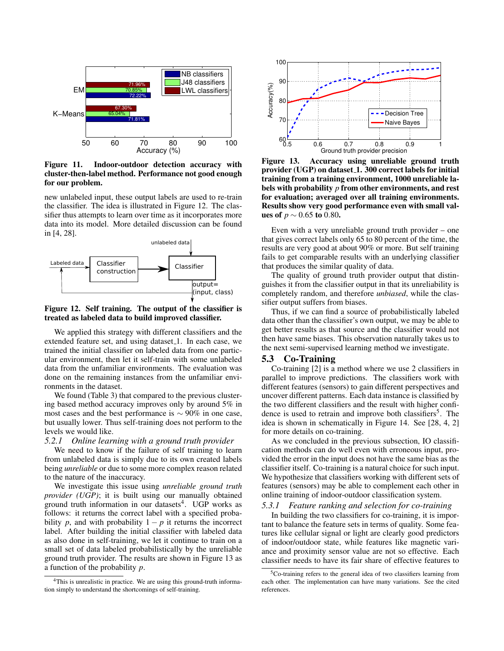

Figure 11. Indoor-outdoor detection accuracy with cluster-then-label method. Performance not good enough for our problem.

new unlabeled input, these output labels are used to re-train the classifier. The idea is illustrated in Figure 12. The classifier thus attempts to learn over time as it incorporates more data into its model. More detailed discussion can be found in [4, 28].



Figure 12. Self training. The output of the classifier is treated as labeled data to build improved classifier.

We applied this strategy with different classifiers and the extended feature set, and using dataset<sub>1</sub>. In each case, we trained the initial classifier on labeled data from one particular environment, then let it self-train with some unlabeled data from the unfamiliar environments. The evaluation was done on the remaining instances from the unfamiliar environments in the dataset.

We found (Table 3) that compared to the previous clustering based method accuracy improves only by around 5% in most cases and the best performance is  $\sim$  90% in one case, but usually lower. Thus self-training does not perform to the levels we would like.

#### *5.2.1 Online learning with a ground truth provider*

We need to know if the failure of self training to learn from unlabeled data is simply due to its own created labels being *unreliable* or due to some more complex reason related to the nature of the inaccuracy.

We investigate this issue using *unreliable ground truth provider (UGP)*; it is built using our manually obtained ground truth information in our datasets<sup>4</sup>. UGP works as follows: it returns the correct label with a specified probability *p*, and with probability  $1 - p$  it returns the incorrect label. After building the initial classifier with labeled data as also done in self-training, we let it continue to train on a small set of data labeled probabilistically by the unreliable ground truth provider. The results are shown in Figure 13 as a function of the probability *p*.



Figure 13. Accuracy using unreliable ground truth provider (UGP) on dataset 1. 300 correct labels for initial training from a training environment, 1000 unreliable labels with probability *p* from other environments, and rest for evaluation; averaged over all training environments. Results show very good performance even with small values of *p* ∼ 0.65 to 0.80.

Even with a very unreliable ground truth provider – one that gives correct labels only 65 to 80 percent of the time, the results are very good at about 90% or more. But self training fails to get comparable results with an underlying classifier that produces the similar quality of data.

The quality of ground truth provider output that distinguishes it from the classifier output in that its unreliability is completely random, and therefore *unbiased*, while the classifier output suffers from biases.

Thus, if we can find a source of probabilistically labeled data other than the classifier's own output, we may be able to get better results as that source and the classifier would not then have same biases. This observation naturally takes us to the next semi-supervised learning method we investigate.

#### 5.3 Co-Training

Co-training [2] is a method where we use 2 classifiers in parallel to improve predictions. The classifiers work with different features (sensors) to gain different perspectives and uncover different patterns. Each data instance is classified by the two different classifiers and the result with higher confidence is used to retrain and improve both classifiers<sup>5</sup>. The idea is shown in schematically in Figure 14. See [28, 4, 2] for more details on co-training.

As we concluded in the previous subsection, IO classification methods can do well even with erroneous input, provided the error in the input does not have the same bias as the classifier itself. Co-training is a natural choice for such input. We hypothesize that classifiers working with different sets of features (sensors) may be able to complement each other in online training of indoor-outdoor classification system.

#### *5.3.1 Feature ranking and selection for co-training*

In building the two classifiers for co-training, it is important to balance the feature sets in terms of quality. Some features like cellular signal or light are clearly good predictors of indoor/outdoor state, while features like magnetic variance and proximity sensor value are not so effective. Each classifier needs to have its fair share of effective features to

<sup>&</sup>lt;sup>4</sup>This is unrealistic in practice. We are using this ground-truth information simply to understand the shortcomings of self-training.

<sup>5</sup>Co-training refers to the general idea of two classifiers learning from each other. The implementation can have many variations. See the cited references.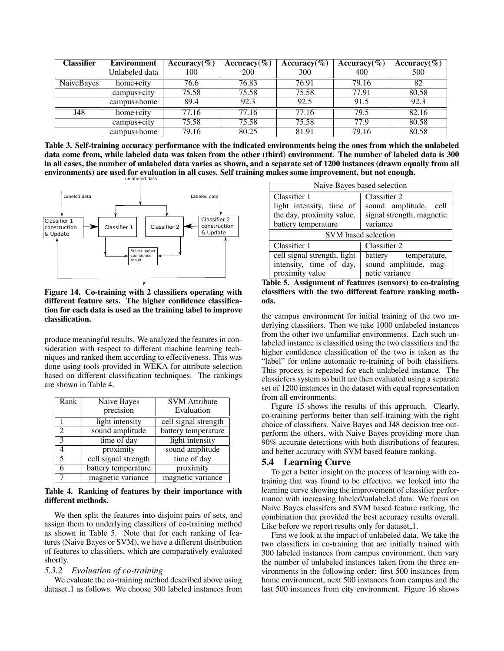| <b>Classifier</b> | <b>Environment</b> | Accuracy $(\% )$ | Accuracy $(\% )$ | Accuracy $(\% )$ | Accuracy $(\% )$ | Accuracy $(\%)$ |
|-------------------|--------------------|------------------|------------------|------------------|------------------|-----------------|
|                   | Unlabeled data     | 100              | <b>200</b>       | 300              | 400              | 500             |
| <b>NaiveBayes</b> | home+city          | 76.6             | 76.83            | 76.91            | 79.16            | 82              |
|                   | campus+city        | 75.58            | 75.58            | 75.58            | 77.91            | 80.58           |
|                   | campus+home        | 89.4             | 92.3             | 92.5             | 91.5             | 92.3            |
| J48               | home+city          | 77.16            | 77.16            | 77.16            | 79.5             | 82.16           |
|                   | campus+city        | 75.58            | 75.58            | 75.58            | 77.9             | 80.58           |
|                   | campus+home        | 79.16            | 80.25            | 81.91            | 79.16            | 80.58           |

Table 3. Self-training accuracy performance with the indicated environments being the ones from which the unlabeled data come from, while labeled data was taken from the other (third) environment. The number of labeled data is 300 in all cases, the number of unlabeled data varies as shown, and a separate set of 1200 instances (drawn equally from all environments) are used for evaluation in all cases. Self training makes some improvement, but not enough.



Figure 14. Co-training with 2 classifiers operating with different feature sets. The higher confidence classification for each data is used as the training label to improve classification.

produce meaningful results. We analyzed the features in consideration with respect to different machine learning techniques and ranked them according to effectiveness. This was done using tools provided in WEKA for attribute selection based on different classification techniques. The rankings are shown in Table 4.

| Rank | Naive Bayes          | <b>SVM</b> Attribute |  |
|------|----------------------|----------------------|--|
|      | precision            | Evaluation           |  |
|      | light intensity      | cell signal strength |  |
| 2    | sound amplitude      | battery temperature  |  |
| 3    | time of day          | light intensity      |  |
|      | proximity            | sound amplitude      |  |
| 5    | cell signal strength | time of day          |  |
|      | battery temperature  | proximity            |  |
|      | magnetic variance    | magnetic variance    |  |

Table 4. Ranking of features by their importance with different methods.

We then split the features into disjoint pairs of sets, and assign them to underlying classifiers of co-training method as shown in Table 5. Note that for each ranking of features (Naive Bayes or SVM), we have a different distribution of features to classifiers, which are comparatively evaluated shortly.

#### *5.3.2 Evaluation of co-training*

We evaluate the co-training method described above using dataset 1 as follows. We choose 300 labeled instances from

| Naive Bayes based selection |                           |  |
|-----------------------------|---------------------------|--|
| Classifier 1                | Classifier 2              |  |
| light intensity, time of    | sound amplitude, cell     |  |
| the day, proximity value,   | signal strength, magnetic |  |
| battery temperature         | variance                  |  |
| <b>SVM</b> based selection  |                           |  |
| Classifier 1                | Classifier 2              |  |
| cell signal strength, light | battery temperature,      |  |
| intensity, time of day,     | sound amplitude, mag-     |  |
| proximity value             | netic variance            |  |

Table 5. Assignment of features (sensors) to co-training classifiers with the two different feature ranking methods.

the campus environment for initial training of the two underlying classifiers. Then we take 1000 unlabeled instances from the other two unfamiliar environments. Each such unlabeled instance is classified using the two classifiers and the higher confidence classification of the two is taken as the "label" for online automatic re-training of both classifiers. This process is repeated for each unlabeled instance. The classiefers system so built are then evaluated using a separate set of 1200 instances in the dataset with equal representation from all environments.

Figure 15 shows the results of this approach. Clearly, co-training performs better than self-training with the right choice of classifiers. Naive Bayes and J48 decision tree outperform the others, with Naive Bayes providing more than 90% accurate detections with both distributions of features, and better accuracy with SVM based feature ranking.

## 5.4 Learning Curve

To get a better insight on the process of learning with cotraining that was found to be effective, we looked into the learning curve showing the improvement of classifier performance with increasing labeled/unlabeled data. We focus on Naive Bayes classifers and SVM based feature ranking, the combination that provided the best accuracy results overall. Like before we report results only for dataset\_1.

First we look at the impact of unlabeled data. We take the two classifiers in co-training that are initially trained with 300 labeled instances from campus environment, then vary the number of unlabeled instances taken from the three environments in the following order: first 500 instances from home environment, next 500 instances from campus and the last 500 instances from city environment. Figure 16 shows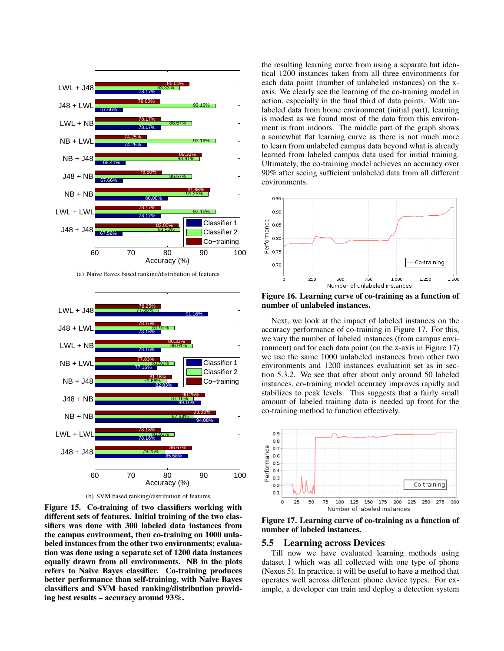

(a) Naive Bayes based ranking/distribution of features





Figure 15. Co-training of two classifiers working with different sets of features. Initial training of the two classifiers was done with 300 labeled data instances from the campus environment, then co-training on 1000 unlabeled instances from the other two environments; evaluation was done using a separate set of 1200 data instances equally drawn from all environments. NB in the plots refers to Naive Bayes classifier. Co-training produces better performance than self-training, with Naive Bayes classifiers and SVM based ranking/distribution providing best results – accuracy around 93%.

the resulting learning curve from using a separate but identical 1200 instances taken from all three environments for each data point (number of unlabeled instances) on the xaxis. We clearly see the learning of the co-training model in action, especially in the final third of data points. With unlabeled data from home environment (initial part), learning is modest as we found most of the data from this environment is from indoors. The middle part of the graph shows a somewhat flat learning curve as there is not much more to learn from unlabeled campus data beyond what is already learned from labeled campus data used for initial training. Ultimately, the co-training model achieves an accuracy over 90% after seeing sufficient unlabeled data from all different environments.



Figure 16. Learning curve of co-training as a function of number of unlabeled instances.

Next, we look at the impact of labeled instances on the accuracy performance of co-training in Figure 17. For this, we vary the number of labeled instances (from campus environment) and for each data point (on the x-axis in Figure 17) we use the same 1000 unlabeled instances from other two environments and 1200 instances evaluation set as in section 5.3.2. We see that after about only around 50 labeled instances, co-training model accuracy improves rapidly and stabilizes to peak levels. This suggests that a fairly small amount of labeled training data is needed up front for the co-training method to function effectively.



Figure 17. Learning curve of co-training as a function of number of labeled instances.

#### 5.5 Learning across Devices

Till now we have evaluated learning methods using dataset<sub>1</sub> which was all collected with one type of phone (Nexus 5). In practice, it will be useful to have a method that operates well across different phone device types. For example, a developer can train and deploy a detection system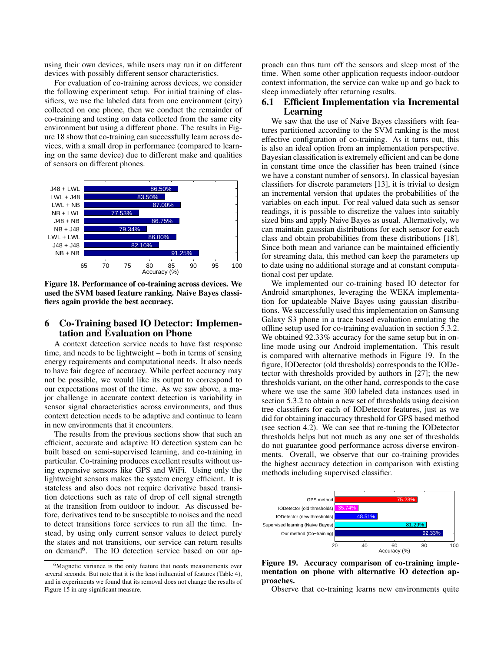using their own devices, while users may run it on different devices with possibly different sensor characteristics.

For evaluation of co-training across devices, we consider the following experiment setup. For initial training of classifiers, we use the labeled data from one environment (city) collected on one phone, then we conduct the remainder of co-training and testing on data collected from the same city environment but using a different phone. The results in Figure 18 show that co-training can successfully learn across devices, with a small drop in performance (compared to learning on the same device) due to different make and qualities of sensors on different phones.



Figure 18. Performance of co-training across devices. We used the SVM based feature ranking. Naive Bayes classifiers again provide the best accuracy.

## 6 Co-Training based IO Detector: Implementation and Evaluation on Phone

A context detection service needs to have fast response time, and needs to be lightweight – both in terms of sensing energy requirements and computational needs. It also needs to have fair degree of accuracy. While perfect accuracy may not be possible, we would like its output to correspond to our expectations most of the time. As we saw above, a major challenge in accurate context detection is variability in sensor signal characteristics across environments, and thus context detection needs to be adaptive and continue to learn in new environments that it encounters.

The results from the previous sections show that such an efficient, accurate and adaptive IO detection system can be built based on semi-supervised learning, and co-training in particular. Co-training produces excellent results without using expensive sensors like GPS and WiFi. Using only the lightweight sensors makes the system energy efficient. It is stateless and also does not require derivative based transition detections such as rate of drop of cell signal strength at the transition from outdoor to indoor. As discussed before, derivatives tend to be susceptible to noises and the need to detect transitions force services to run all the time. Instead, by using only current sensor values to detect purely the states and not transitions, our service can return results on demand<sup>6</sup>. The IO detection service based on our approach can thus turn off the sensors and sleep most of the time. When some other application requests indoor-outdoor context information, the service can wake up and go back to sleep immediately after returning results.

#### 6.1 Efficient Implementation via Incremental Learning

We saw that the use of Naive Bayes classifiers with features partitioned according to the SVM ranking is the most effective configuration of co-training. As it turns out, this is also an ideal option from an implementation perspective. Bayesian classification is extremely efficient and can be done in constant time once the classifier has been trained (since we have a constant number of sensors). In classical bayesian classifiers for discrete parameters [13], it is trivial to design an incremental version that updates the probabilities of the variables on each input. For real valued data such as sensor readings, it is possible to discretize the values into suitably sized bins and apply Naive Bayes as usual. Alternatively, we can maintain gaussian distributions for each sensor for each class and obtain probabilities from these distributions [18]. Since both mean and variance can be maintained efficiently for streaming data, this method can keep the parameters up to date using no additional storage and at constant computational cost per update.

We implemented our co-training based IO detector for Android smartphones, leveraging the WEKA implementation for updateable Naive Bayes using gaussian distributions. We successfully used this implementation on Samsung Galaxy S3 phone in a trace based evaluation emulating the offline setup used for co-training evaluation in section 5.3.2. We obtained 92.33% accuracy for the same setup but in online mode using our Android implementation. This result is compared with alternative methods in Figure 19. In the figure, IODetector (old thresholds) corresponds to the IODetector with thresholds provided by authors in [27]; the new thresholds variant, on the other hand, corresponds to the case where we use the same 300 labeled data instances used in section 5.3.2 to obtain a new set of thresholds using decision tree classifiers for each of IODetector features, just as we did for obtaining inaccuracy threshold for GPS based method (see section 4.2). We can see that re-tuning the IODetector thresholds helps but not much as any one set of thresholds do not guarantee good performance across diverse environments. Overall, we observe that our co-training provides the highest accuracy detection in comparison with existing methods including supervised classifier.



Figure 19. Accuracy comparison of co-training implementation on phone with alternative IO detection approaches.

Observe that co-training learns new environments quite

<sup>6</sup>Magnetic variance is the only feature that needs measurements over several seconds. But note that it is the least influential of features (Table 4), and in experiments we found that its removal does not change the results of Figure 15 in any significant measure.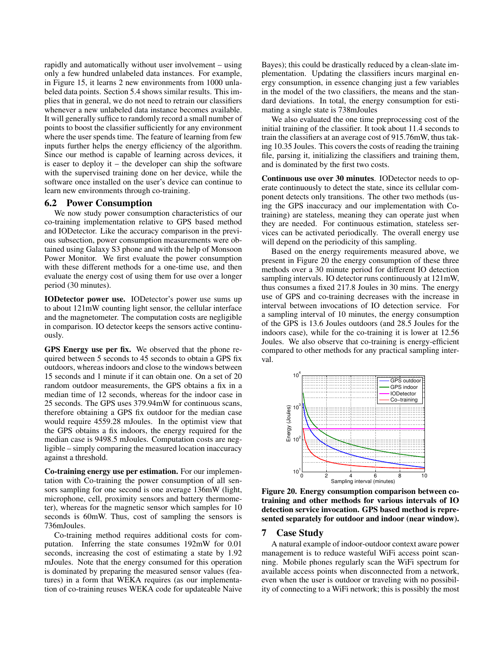rapidly and automatically without user involvement – using only a few hundred unlabeled data instances. For example, in Figure 15, it learns 2 new environments from 1000 unlabeled data points. Section 5.4 shows similar results. This implies that in general, we do not need to retrain our classifiers whenever a new unlabeled data instance becomes available. It will generally suffice to randomly record a small number of points to boost the classifier sufficiently for any environment where the user spends time. The feature of learning from few inputs further helps the energy efficiency of the algorithm. Since our method is capable of learning across devices, it is easer to deploy it – the developer can ship the software with the supervised training done on her device, while the software once installed on the user's device can continue to learn new environments through co-training.

#### 6.2 Power Consumption

We now study power consumption characteristics of our co-training implementation relative to GPS based method and IODetector. Like the accuracy comparison in the previous subsection, power consumption measurements were obtained using Galaxy S3 phone and with the help of Monsoon Power Monitor. We first evaluate the power consumption with these different methods for a one-time use, and then evaluate the energy cost of using them for use over a longer period (30 minutes).

IODetector power use. IODetector's power use sums up to about 121mW counting light sensor, the cellular interface and the magnetometer. The computation costs are negligible in comparison. IO detector keeps the sensors active continuously.

GPS Energy use per fix. We observed that the phone required between 5 seconds to 45 seconds to obtain a GPS fix outdoors, whereas indoors and close to the windows between 15 seconds and 1 minute if it can obtain one. On a set of 20 random outdoor measurements, the GPS obtains a fix in a median time of 12 seconds, whereas for the indoor case in 25 seconds. The GPS uses 379.94mW for continuous scans, therefore obtaining a GPS fix outdoor for the median case would require 4559.28 mJoules. In the optimist view that the GPS obtains a fix indoors, the energy required for the median case is 9498.5 mJoules. Computation costs are negligible – simply comparing the measured location inaccuracy against a threshold.

Co-training energy use per estimation. For our implementation with Co-training the power consumption of all sensors sampling for one second is one average 136mW (light, microphone, cell, proximity sensors and battery thermometer), whereas for the magnetic sensor which samples for 10 seconds is 60mW. Thus, cost of sampling the sensors is 736mJoules.

Co-training method requires additional costs for computation. Inferring the state consumes 192mW for 0.01 seconds, increasing the cost of estimating a state by 1.92 mJoules. Note that the energy consumed for this operation is dominated by preparing the measured sensor values (features) in a form that WEKA requires (as our implementation of co-training reuses WEKA code for updateable Naive

Bayes); this could be drastically reduced by a clean-slate implementation. Updating the classifiers incurs marginal energy consumption, in essence changing just a few variables in the model of the two classifiers, the means and the standard deviations. In total, the energy consumption for estimating a single state is 738mJoules

We also evaluated the one time preprocessing cost of the initial training of the classifier. It took about 11.4 seconds to train the classifiers at an average cost of 915.76mW, thus taking 10.35 Joules. This covers the costs of reading the training file, parsing it, initializing the classifiers and training them, and is dominated by the first two costs.

Continuous use over 30 minutes. IODetector needs to operate continuously to detect the state, since its cellular component detects only transitions. The other two methods (using the GPS inaccuracy and our implementation with Cotraining) are stateless, meaning they can operate just when they are needed. For continuous estimation, stateless services can be activated periodically. The overall energy use will depend on the periodicity of this sampling.

Based on the energy requirements measured above, we present in Figure 20 the energy consumption of these three methods over a 30 minute period for different IO detection sampling intervals. IO detector runs continuously at 121mW, thus consumes a fixed 217.8 Joules in 30 mins. The energy use of GPS and co-training decreases with the increase in interval between invocations of IO detection service. For a sampling interval of 10 minutes, the energy consumption of the GPS is 13.6 Joules outdoors (and 28.5 Joules for the indoors case), while for the co-training it is lower at 12.56 Joules. We also observe that co-training is energy-efficient compared to other methods for any practical sampling interval.



Figure 20. Energy consumption comparison between cotraining and other methods for various intervals of IO detection service invocation. GPS based method is represented separately for outdoor and indoor (near window).

## 7 Case Study

A natural example of indoor-outdoor context aware power management is to reduce wasteful WiFi access point scanning. Mobile phones regularly scan the WiFi spectrum for available access points when disconnected from a network, even when the user is outdoor or traveling with no possibility of connecting to a WiFi network; this is possibly the most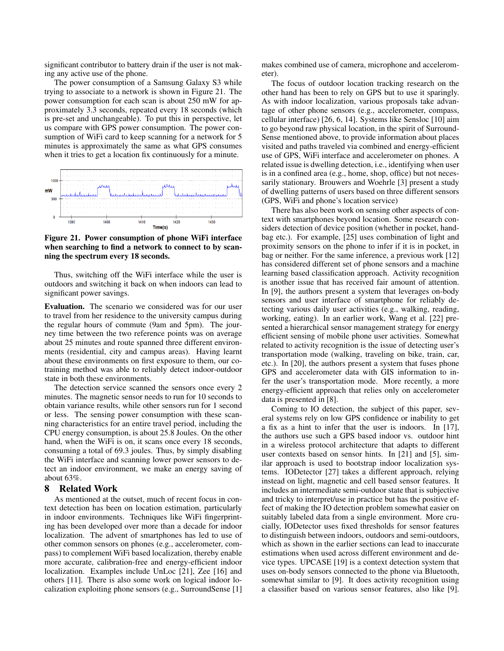significant contributor to battery drain if the user is not making any active use of the phone.

The power consumption of a Samsung Galaxy S3 while trying to associate to a network is shown in Figure 21. The power consumption for each scan is about 250 mW for approximately 3.3 seconds, repeated every 18 seconds (which is pre-set and unchangeable). To put this in perspective, let us compare with GPS power consumption. The power consumption of WiFi card to keep scanning for a network for 5 minutes is approximately the same as what GPS consumes when it tries to get a location fix continuously for a minute.



Figure 21. Power consumption of phone WiFi interface when searching to find a network to connect to by scanning the spectrum every 18 seconds.

Thus, switching off the WiFi interface while the user is outdoors and switching it back on when indoors can lead to significant power savings.

Evaluation. The scenario we considered was for our user to travel from her residence to the university campus during the regular hours of commute (9am and 5pm). The journey time between the two reference points was on average about 25 minutes and route spanned three different environments (residential, city and campus areas). Having learnt about these environments on first exposure to them, our cotraining method was able to reliably detect indoor-outdoor state in both these environments.

The detection service scanned the sensors once every 2 minutes. The magnetic sensor needs to run for 10 seconds to obtain variance results, while other sensors run for 1 second or less. The sensing power consumption with these scanning characteristics for an entire travel period, including the CPU energy consumption, is about 25.8 Joules. On the other hand, when the WiFi is on, it scans once every 18 seconds, consuming a total of 69.3 joules. Thus, by simply disabling the WiFi interface and scanning lower power sensors to detect an indoor environment, we make an energy saving of about 63%.

#### 8 Related Work

As mentioned at the outset, much of recent focus in context detection has been on location estimation, particularly in indoor environments. Techniques like WiFi fingerprinting has been developed over more than a decade for indoor localization. The advent of smartphones has led to use of other common sensors on phones (e.g., accelerometer, compass) to complement WiFi based localization, thereby enable more accurate, calibration-free and energy-efficient indoor localization. Examples include UnLoc [21], Zee [16] and others [11]. There is also some work on logical indoor localization exploiting phone sensors (e.g., SurroundSense [1]

makes combined use of camera, microphone and accelerometer).

The focus of outdoor location tracking research on the other hand has been to rely on GPS but to use it sparingly. As with indoor localization, various proposals take advantage of other phone sensors (e.g., accelerometer, compass, cellular interface) [26, 6, 14]. Systems like Sensloc [10] aim to go beyond raw physical location, in the spirit of Surround-Sense mentioned above, to provide information about places visited and paths traveled via combined and energy-efficient use of GPS, WiFi interface and accelerometer on phones. A related issue is dwelling detection, i.e., identifying when user is in a confined area (e.g., home, shop, office) but not necessarily stationary. Brouwers and Woehrle [3] present a study of dwelling patterns of users based on three different sensors (GPS, WiFi and phone's location service)

There has also been work on sensing other aspects of context with smartphones beyond location. Some research considers detection of device position (whether in pocket, handbag etc.). For example, [25] uses combination of light and proximity sensors on the phone to infer if it is in pocket, in bag or neither. For the same inference, a previous work [12] has considered different set of phone sensors and a machine learning based classification approach. Activity recognition is another issue that has received fair amount of attention. In [9], the authors present a system that leverages on-body sensors and user interface of smartphone for reliably detecting various daily user activities (e.g., walking, reading, working, eating). In an earlier work, Wang et al. [22] presented a hierarchical sensor management strategy for energy efficient sensing of mobile phone user activities. Somewhat related to activity recognition is the issue of detecting user's transportation mode (walking, traveling on bike, train, car, etc.). In [20], the authors present a system that fuses phone GPS and accelerometer data with GIS information to infer the user's transportation mode. More recently, a more energy-efficient approach that relies only on accelerometer data is presented in [8].

Coming to IO detection, the subject of this paper, several systems rely on low GPS confidence or inability to get a fix as a hint to infer that the user is indoors. In [17], the authors use such a GPS based indoor vs. outdoor hint in a wireless protocol architecture that adapts to different user contexts based on sensor hints. In [21] and [5], similar approach is used to bootstrap indoor localization systems. IODetector [27] takes a different approach, relying instead on light, magnetic and cell based sensor features. It includes an intermediate semi-outdoor state that is subjective and tricky to interpret/use in practice but has the positive effect of making the IO detection problem somewhat easier on suitably labeled data from a single environment. More crucially, IODetector uses fixed thresholds for sensor features to distinguish between indoors, outdoors and semi-outdoors, which as shown in the earlier sections can lead to inaccurate estimations when used across different environment and device types. UPCASE [19] is a context detection system that uses on-body sensors connected to the phone via Bluetooth, somewhat similar to [9]. It does activity recognition using a classifier based on various sensor features, also like [9].